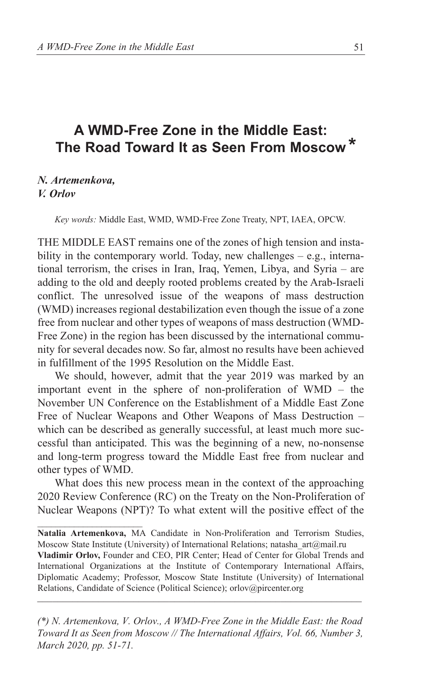## **A WMD-Free Zone in the Middle East: The Road Toward It as Seen From Moscow** *\**

### *N. Artemenkova, V. Orlov*

 $\mathcal{L}_\text{max}$ 

*Key words:* Middle East, WMD, WMD-Free Zone Treaty, NPT, IAEA, OPCW.

THE MIDDLE EAST remains one of the zones of high tension and instability in the contemporary world. Today, new challenges – e.g., international terrorism, the crises in Iran, Iraq, Yemen, Libya, and Syria – are adding to the old and deeply rooted problems created by the Arab-Israeli conflict. The unresolved issue of the weapons of mass destruction (WMD) increases regional destabilization even though the issue of a zone free from nuclear and other types of weapons of mass destruction (WMD-Free Zone) in the region has been discussed by the international community for several decades now. So far, almost no results have been achieved in fulfillment of the 1995 Resolution on the Middle East.

We should, however, admit that the year 2019 was marked by an important event in the sphere of non-proliferation of WMD – the November UN Conference on the Establishment of a Middle East Zone Free of Nuclear Weapons and Other Weapons of Mass Destruction – which can be described as generally successful, at least much more successful than anticipated. This was the beginning of a new, no-nonsense and long-term progress toward the Middle East free from nuclear and other types of WMD.

What does this new process mean in the context of the approaching 2020 Review Conference (RC) on the Treaty on the Non-Proliferation of Nuclear Weapons (NPT)? To what extent will the positive effect of the

*(\*) N. Artemenkova, V. Orlov., A WMD-Free Zone in the Middle East: the Road Toward It as Seen from Moscow // The International Affairs, Vol. 66, Number 3, March 2020, pp. 51-71.*

**Natalia Artemenkova,** MA Candidate in Non-Proliferation and Terrorism Studies, Moscow State Institute (University) of International Relations; natasha\_art@mail.ru

**Vladimir Orlov,** Founder and CEO, PIR Center; Head of Center for Global Trends and International Organizations at the Institute of Contemporary International Affairs, Diplomatic Academy; Professor, Moscow State Institute (University) of International Relations, Candidate of Science (Political Science); orlov@pircenter.org  $\mathcal{L} = \mathcal{L}$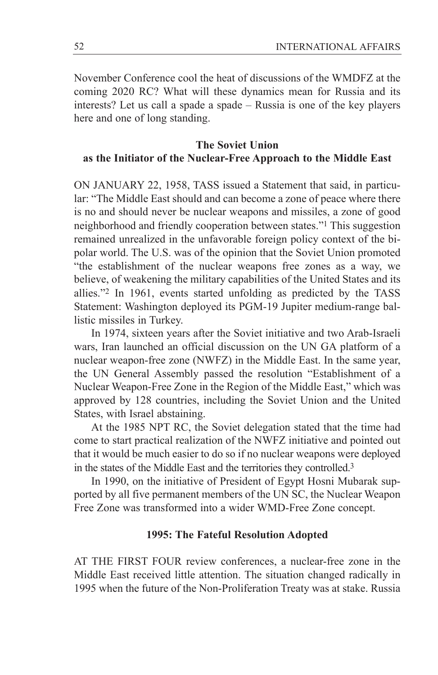November Conference cool the heat of discussions of the WMDFZ at the coming 2020 RC? What will these dynamics mean for Russia and its interests? Let us call a spade a spade – Russia is one of the key players here and one of long standing.

## **The Soviet Union as the Initiator of the Nuclear-Free Approach to the Middle East**

ON JANUARY 22, 1958, TASS issued a Statement that said, in particular: "The Middle East should and can become a zone of peace where there is no and should never be nuclear weapons and missiles, a zone of good neighborhood and friendly cooperation between states."1 This suggestion remained unrealized in the unfavorable foreign policy context of the bipolar world. The U.S. was of the opinion that the Soviet Union promoted "the establishment of the nuclear weapons free zones as a way, we believe, of weakening the military capabilities of the United States and its allies."2 In 1961, events started unfolding as predicted by the TASS Statement: Washington deployed its PGM-19 Jupiter medium-range ballistic missiles in Turkey.

In 1974, sixteen years after the Soviet initiative and two Arab-Israeli wars, Iran launched an official discussion on the UN GA platform of a nuclear weapon-free zone (NWFZ) in the Middle East. In the same year, the UN General Assembly passed the resolution "Establishment of a Nuclear Weapon-Free Zone in the Region of the Middle East," which was approved by 128 countries, including the Soviet Union and the United States, with Israel abstaining.

At the 1985 NPT RC, the Soviet delegation stated that the time had come to start practical realization of the NWFZ initiative and pointed out that it would be much easier to do so if no nuclear weapons were deployed in the states of the Middle East and the territories they controlled.3

In 1990, on the initiative of President of Egypt Hosni Mubarak supported by all five permanent members of the UN SC, the Nuclear Weapon Free Zone was transformed into a wider WMD-Free Zone concept.

## **1995: The Fateful Resolution Adopted**

AT THE FIRST FOUR review conferences, a nuclear-free zone in the Middle East received little attention. The situation changed radically in 1995 when the future of the Non-Proliferation Treaty was at stake. Russia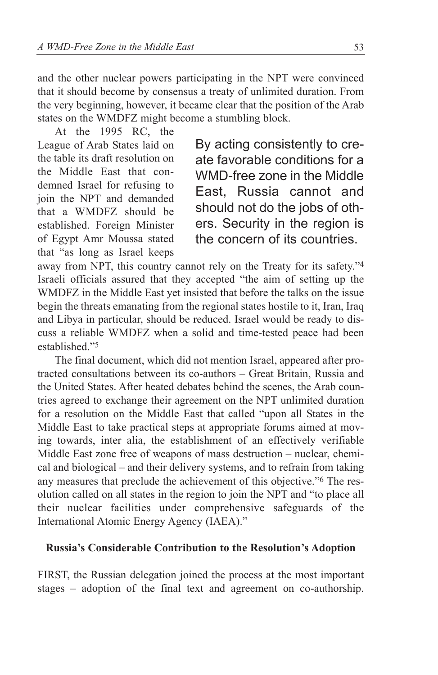and the other nuclear powers participating in the NPT were convinced that it should become by consensus a treaty of unlimited duration. From the very beginning, however, it became clear that the position of the Arab states on the WMDFZ might become a stumbling block.

At the 1995 RC, the League of Arab States laid on the table its draft resolution on the Middle East that condemned Israel for refusing to join the NPT and demanded that a WMDFZ should be established. Foreign Minister of Egypt Amr Moussa stated that "as long as Israel keeps

By acting consistently to create favorable conditions for a WMD-free zone in the Middle East, Russia cannot and should not do the jobs of others. Security in the region is the concern of its countries.

away from NPT, this country cannot rely on the Treaty for its safety."4 Israeli officials assured that they accepted "the aim of setting up the WMDFZ in the Middle East yet insisted that before the talks on the issue begin the threats emanating from the regional states hostile to it, Iran, Iraq and Libya in particular, should be reduced. Israel would be ready to discuss a reliable WMDFZ when a solid and time-tested peace had been established."5

The final document, which did not mention Israel, appeared after protracted consultations between its co-authors – Great Britain, Russia and the United States. After heated debates behind the scenes, the Arab countries agreed to exchange their agreement on the NPT unlimited duration for a resolution on the Middle East that called "upon all States in the Middle East to take practical steps at appropriate forums aimed at moving towards, inter alia, the establishment of an effectively verifiable Middle East zone free of weapons of mass destruction – nuclear, chemical and biological – and their delivery systems, and to refrain from taking any measures that preclude the achievement of this objective."6 The resolution called on all states in the region to join the NPT and "to place all their nuclear facilities under comprehensive safeguards of the International Atomic Energy Agency (IAEA)."

## **Russia's Considerable Contribution to the Resolution's Adoption**

FIRST, the Russian delegation joined the process at the most important stages – adoption of the final text and agreement on co-authorship.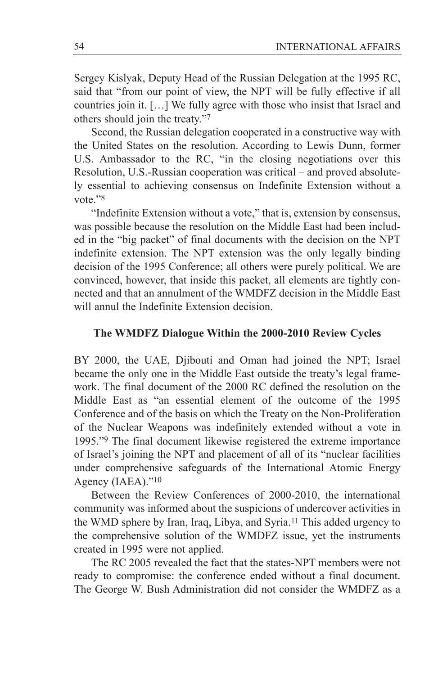Sergey Kislyak, Deputy Head of the Russian Delegation at the 1995 RC, said that "from our point of view, the NPT will be fully effective if all countries join it. […] We fully agree with those who insist that Israel and others should join the treaty."7

Second, the Russian delegation cooperated in a constructive way with the United States on the resolution. According to Lewis Dunn, former U.S. Ambassador to the RC, "in the closing negotiations over this Resolution, U.S.-Russian cooperation was critical – and proved absolutely essential to achieving consensus on Indefinite Extension without a vote."8

"Indefinite Extension without a vote," that is, extension by consensus, was possible because the resolution on the Middle East had been included in the "big packet" of final documents with the decision on the NPT indefinite extension. The NPT extension was the only legally binding decision of the 1995 Conference; all others were purely political. We are convinced, however, that inside this packet, all elements are tightly connected and that an annulment of the WMDFZ decision in the Middle East will annul the Indefinite Extension decision.

## **The WMDFZ Dialogue Within the 2000-2010 Review Cycles**

BY 2000, the UAE, Djibouti and Oman had joined the NPT; Israel became the only one in the Middle East outside the treaty's legal framework. The final document of the 2000 RC defined the resolution on the Middle East as "an essential element of the outcome of the 1995 Conference and of the basis on which the Treaty on the Non-Proliferation of the Nuclear Weapons was indefinitely extended without a vote in 1995."9 The final document likewise registered the extreme importance of Israel's joining the NPT and placement of all of its "nuclear facilities under comprehensive safeguards of the International Atomic Energy Agency (IAEA)."10

Between the Review Conferences of 2000-2010, the international community was informed about the suspicions of undercover activities in the WMD sphere by Iran, Iraq, Libya, and Syria.11 This added urgency to the comprehensive solution of the WMDFZ issue, yet the instruments created in 1995 were not applied.

The RC 2005 revealed the fact that the states-NPT members were not ready to compromise: the conference ended without a final document. The George W. Bush Administration did not consider the WMDFZ as a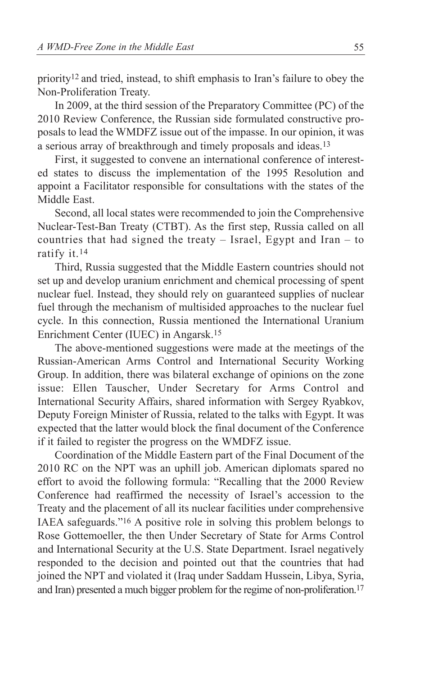priority12 and tried, instead, to shift emphasis to Iran's failure to obey the Non-Proliferation Treaty.

In 2009, at the third session of the Preparatory Committee (PC) of the 2010 Review Conference, the Russian side formulated constructive proposals to lead the WMDFZ issue out of the impasse. In our opinion, it was a serious array of breakthrough and timely proposals and ideas.13

First, it suggested to convene an international conference of interested states to discuss the implementation of the 1995 Resolution and appoint a Facilitator responsible for consultations with the states of the Middle East.

Second, all local states were recommended to join the Comprehensive Nuclear-Test-Ban Treaty (CTBT). As the first step, Russia called on all countries that had signed the treaty – Israel, Egypt and Iran – to ratify it.14

Third, Russia suggested that the Middle Eastern countries should not set up and develop uranium enrichment and chemical processing of spent nuclear fuel. Instead, they should rely on guaranteed supplies of nuclear fuel through the mechanism of multisided approaches to the nuclear fuel cycle. In this connection, Russia mentioned the International Uranium Enrichment Center (IUEC) in Angarsk.15

The above-mentioned suggestions were made at the meetings of the Russian-American Arms Control and International Security Working Group. In addition, there was bilateral exchange of opinions on the zone issue: Ellen Tauscher, Under Secretary for Arms Control and International Security Affairs, shared information with Sergey Ryabkov, Deputy Foreign Minister of Russia, related to the talks with Egypt. It was expected that the latter would block the final document of the Conference if it failed to register the progress on the WMDFZ issue.

Coordination of the Middle Eastern part of the Final Document of the 2010 RC on the NPT was an uphill job. American diplomats spared no effort to avoid the following formula: "Recalling that the 2000 Review Conference had reaffirmed the necessity of Israel's accession to the Treaty and the placement of all its nuclear facilities under comprehensive IAEA safeguards."16 A positive role in solving this problem belongs to Rose Gottemoeller, the then Under Secretary of State for Arms Control and International Security at the U.S. State Department. Israel negatively responded to the decision and pointed out that the countries that had joined the NPT and violated it (Iraq under Saddam Hussein, Libya, Syria, and Iran) presented a much bigger problem for the regime of non-proliferation. 17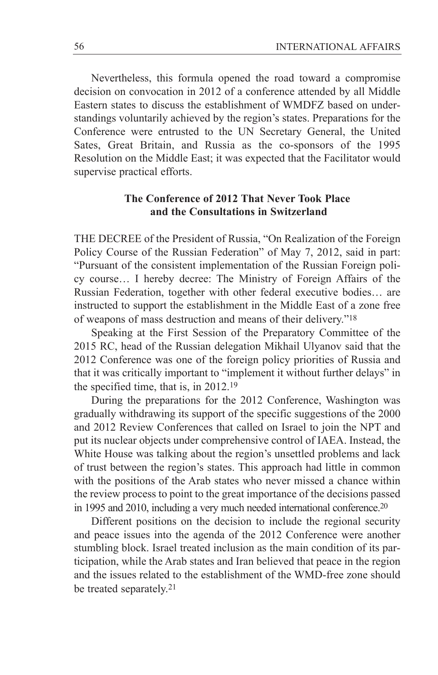Nevertheless, this formula opened the road toward a compromise decision on convocation in 2012 of a conference attended by all Middle Eastern states to discuss the establishment of WMDFZ based on understandings voluntarily achieved by the region's states. Preparations for the Conference were entrusted to the UN Secretary General, the United Sates, Great Britain, and Russia as the co-sponsors of the 1995 Resolution on the Middle East; it was expected that the Facilitator would supervise practical efforts.

# **The Conference of 2012 That Never Took Place and the Consultations in Switzerland**

THE DECREE of the President of Russia, "On Realization of the Foreign Policy Course of the Russian Federation" of May 7, 2012, said in part: "Pursuant of the consistent implementation of the Russian Foreign policy course… I hereby decree: The Ministry of Foreign Affairs of the Russian Federation, together with other federal executive bodies… are instructed to support the establishment in the Middle East of a zone free of weapons of mass destruction and means of their delivery."18

Speaking at the First Session of the Preparatory Committee of the 2015 RC, head of the Russian delegation Mikhail Ulyanov said that the 2012 Conference was one of the foreign policy priorities of Russia and that it was critically important to "implement it without further delays" in the specified time, that is, in 2012.19

During the preparations for the 2012 Conference, Washington was gradually withdrawing its support of the specific suggestions of the 2000 and 2012 Review Conferences that called on Israel to join the NPT and put its nuclear objects under comprehensive control of IAEA. Instead, the White House was talking about the region's unsettled problems and lack of trust between the region's states. This approach had little in common with the positions of the Arab states who never missed a chance within the review process to point to the great importance of the decisions passed in 1995 and 2010, including a very much needed international conference. 20

Different positions on the decision to include the regional security and peace issues into the agenda of the 2012 Conference were another stumbling block. Israel treated inclusion as the main condition of its participation, while the Arab states and Iran believed that peace in the region and the issues related to the establishment of the WMD-free zone should be treated separately.21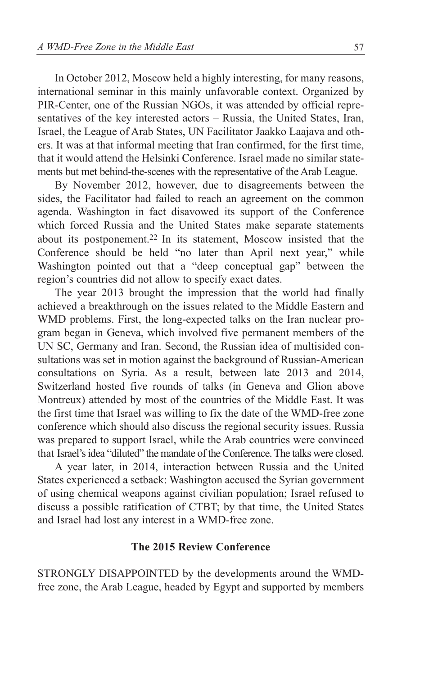In October 2012, Moscow held a highly interesting, for many reasons, international seminar in this mainly unfavorable context. Organized by PIR-Center, one of the Russian NGOs, it was attended by official representatives of the key interested actors – Russia, the United States, Iran, Israel, the League of Arab States, UN Facilitator Jaakko Laajava and others. It was at that informal meeting that Iran confirmed, for the first time, that it would attend the Helsinki Conference. Israel made no similar statements but met behind-the-scenes with the representative of the Arab League.

By November 2012, however, due to disagreements between the sides, the Facilitator had failed to reach an agreement on the common agenda. Washington in fact disavowed its support of the Conference which forced Russia and the United States make separate statements about its postponement.22 In its statement, Moscow insisted that the Conference should be held "no later than April next year," while Washington pointed out that a "deep conceptual gap" between the region's countries did not allow to specify exact dates.

The year 2013 brought the impression that the world had finally achieved a breakthrough on the issues related to the Middle Eastern and WMD problems. First, the long-expected talks on the Iran nuclear program began in Geneva, which involved five permanent members of the UN SC, Germany and Iran. Second, the Russian idea of multisided consultations was set in motion against the background of Russian-American consultations on Syria. As a result, between late 2013 and 2014, Switzerland hosted five rounds of talks (in Geneva and Glion above Montreux) attended by most of the countries of the Middle East. It was the first time that Israel was willing to fix the date of the WMD-free zone conference which should also discuss the regional security issues. Russia was prepared to support Israel, while the Arab countries were convinced that Israel's idea "diluted" the mandate of the Conference. The talks were closed.

A year later, in 2014, interaction between Russia and the United States experienced a setback: Washington accused the Syrian government of using chemical weapons against civilian population; Israel refused to discuss a possible ratification of CTBT; by that time, the United States and Israel had lost any interest in a WMD-free zone.

### **The 2015 Review Conference**

STRONGLY DISAPPOINTED by the developments around the WMDfree zone, the Arab League, headed by Egypt and supported by members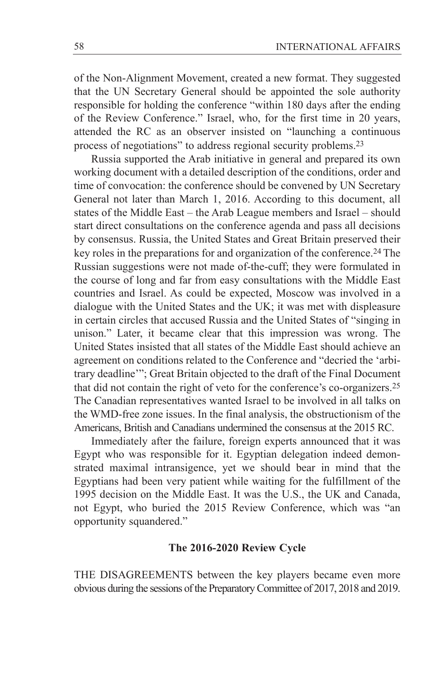of the Non-Alignment Movement, created a new format. They suggested that the UN Secretary General should be appointed the sole authority responsible for holding the conference "within 180 days after the ending of the Review Conference." Israel, who, for the first time in 20 years, attended the RC as an observer insisted on "launching a continuous process of negotiations" to address regional security problems.23

Russia supported the Arab initiative in general and prepared its own working document with a detailed description of the conditions, order and time of convocation: the conference should be convened by UN Secretary General not later than March 1, 2016. According to this document, all states of the Middle East – the Arab League members and Israel – should start direct consultations on the conference agenda and pass all decisions by consensus. Russia, the United States and Great Britain preserved their key roles in the preparations for and organization of the conference.24 The Russian suggestions were not made of-the-cuff; they were formulated in the course of long and far from easy consultations with the Middle East countries and Israel. As could be expected, Moscow was involved in a dialogue with the United States and the UK; it was met with displeasure in certain circles that accused Russia and the United States of "singing in unison." Later, it became clear that this impression was wrong. The United States insisted that all states of the Middle East should achieve an agreement on conditions related to the Conference and "decried the 'arbitrary deadline'"; Great Britain objected to the draft of the Final Document that did not contain the right of veto for the conference's co-organizers.25 The Canadian representatives wanted Israel to be involved in all talks on the WMD-free zone issues. In the final analysis, the obstructionism of the Americans, British and Canadians undermined the consensus at the 2015 RC.

Immediately after the failure, foreign experts announced that it was Egypt who was responsible for it. Egyptian delegation indeed demonstrated maximal intransigence, yet we should bear in mind that the Egyptians had been very patient while waiting for the fulfillment of the 1995 decision on the Middle East. It was the U.S., the UK and Canada, not Egypt, who buried the 2015 Review Conference, which was "an opportunity squandered."

#### **The 2016-2020 Review Cycle**

THE DISAGREEMENTS between the key players became even more obvious during the sessions of the Preparatory Committee of 2017, 2018 and 2019.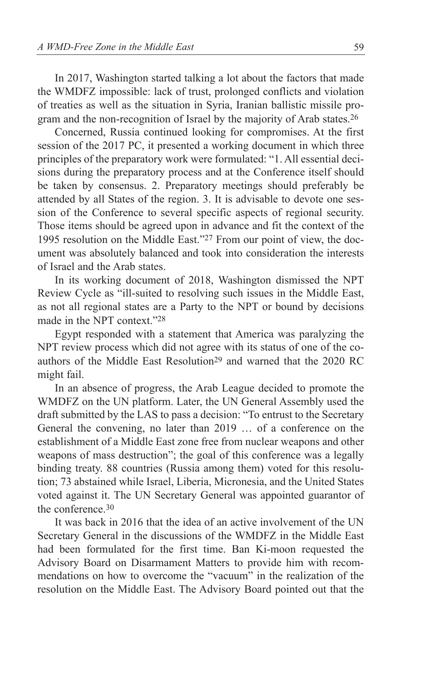In 2017, Washington started talking a lot about the factors that made the WMDFZ impossible: lack of trust, prolonged conflicts and violation of treaties as well as the situation in Syria, Iranian ballistic missile program and the non-recognition of Israel by the majority of Arab states.26

Concerned, Russia continued looking for compromises. At the first session of the 2017 PC, it presented a working document in which three principles of the preparatory work were formulated: "1. All essential decisions during the preparatory process and at the Conference itself should be taken by consensus. 2. Preparatory meetings should preferably be attended by all States of the region. 3. It is advisable to devote one session of the Conference to several specific aspects of regional security. Those items should be agreed upon in advance and fit the context of the 1995 resolution on the Middle East."27 From our point of view, the document was absolutely balanced and took into consideration the interests of Israel and the Arab states.

In its working document of 2018, Washington dismissed the NPT Review Cycle as "ill-suited to resolving such issues in the Middle East, as not all regional states are a Party to the NPT or bound by decisions made in the NPT context."28

Egypt responded with a statement that America was paralyzing the NPT review process which did not agree with its status of one of the coauthors of the Middle East Resolution<sup>29</sup> and warned that the 2020 RC might fail.

In an absence of progress, the Arab League decided to promote the WMDFZ on the UN platform. Later, the UN General Assembly used the draft submitted by the LAS to pass a decision: "To entrust to the Secretary General the convening, no later than 2019 … of a conference on the establishment of a Middle East zone free from nuclear weapons and other weapons of mass destruction"; the goal of this conference was a legally binding treaty. 88 countries (Russia among them) voted for this resolution; 73 abstained while Israel, Liberia, Micronesia, and the United States voted against it. The UN Secretary General was appointed guarantor of the conference.30

It was back in 2016 that the idea of an active involvement of the UN Secretary General in the discussions of the WMDFZ in the Middle East had been formulated for the first time. Ban Ki-moon requested the Advisory Board on Disarmament Matters to provide him with recommendations on how to overcome the "vacuum" in the realization of the resolution on the Middle East. The Advisory Board pointed out that the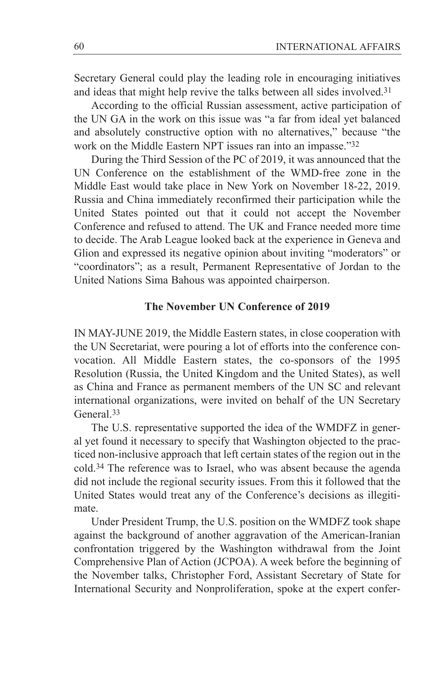Secretary General could play the leading role in encouraging initiatives and ideas that might help revive the talks between all sides involved.<sup>31</sup>

According to the official Russian assessment, active participation of the UN GA in the work on this issue was "a far from ideal yet balanced and absolutely constructive option with no alternatives," because "the work on the Middle Eastern NPT issues ran into an impasse."32

During the Third Session of the PC of 2019, it was announced that the UN Conference on the establishment of the WMD-free zone in the Middle East would take place in New York on November 18-22, 2019. Russia and China immediately reconfirmed their participation while the United States pointed out that it could not accept the November Conference and refused to attend. The UK and France needed more time to decide. The Arab League looked back at the experience in Geneva and Glion and expressed its negative opinion about inviting "moderators" or "coordinators"; as a result, Permanent Representative of Jordan to the United Nations Sima Bahous was appointed chairperson.

### **The November UN Conference of 2019**

IN MAY-JUNE 2019, the Middle Eastern states, in close cooperation with the UN Secretariat, were pouring a lot of efforts into the conference convocation. All Middle Eastern states, the co-sponsors of the 1995 Resolution (Russia, the United Kingdom and the United States), as well as China and France as permanent members of the UN SC and relevant international organizations, were invited on behalf of the UN Secretary General.33

The U.S. representative supported the idea of the WMDFZ in general yet found it necessary to specify that Washington objected to the practiced non-inclusive approach that left certain states of the region out in the cold.34 The reference was to Israel, who was absent because the agenda did not include the regional security issues. From this it followed that the United States would treat any of the Conference's decisions as illegitimate.

Under President Trump, the U.S. position on the WMDFZ took shape against the background of another aggravation of the American-Iranian confrontation triggered by the Washington withdrawal from the Joint Comprehensive Plan of Action (JCPOA). A week before the beginning of the November talks, Christopher Ford, Assistant Secretary of State for International Security and Nonproliferation, spoke at the expert confer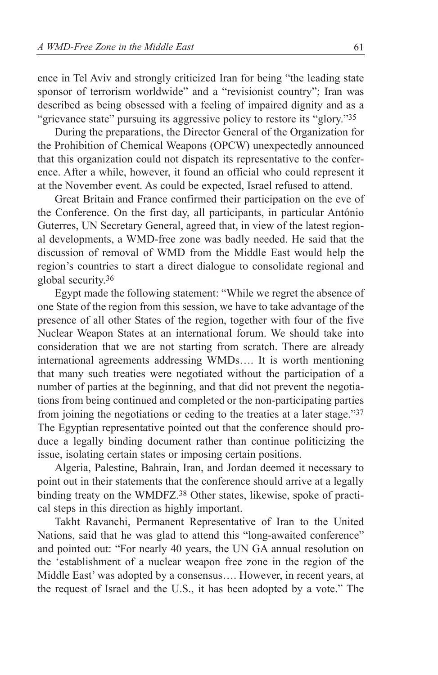ence in Tel Aviv and strongly criticized Iran for being "the leading state sponsor of terrorism worldwide" and a "revisionist country"; Iran was described as being obsessed with a feeling of impaired dignity and as a "grievance state" pursuing its aggressive policy to restore its "glory."35

During the preparations, the Director General of the Organization for the Prohibition of Chemical Weapons (OPCW) unexpectedly announced that this organization could not dispatch its representative to the conference. After a while, however, it found an official who could represent it at the November event. As could be expected, Israel refused to attend.

Great Britain and France confirmed their participation on the eve of the Conference. On the first day, all participants, in particular António Guterres, UN Secretary General, agreed that, in view of the latest regional developments, a WMD-free zone was badly needed. He said that the discussion of removal of WMD from the Middle East would help the region's countries to start a direct dialogue to consolidate regional and global security.36

Egypt made the following statement: "While we regret the absence of one State of the region from this session, we have to take advantage of the presence of all other States of the region, together with four of the five Nuclear Weapon States at an international forum. We should take into consideration that we are not starting from scratch. There are already international agreements addressing WMDs…. It is worth mentioning that many such treaties were negotiated without the participation of a number of parties at the beginning, and that did not prevent the negotiations from being continued and completed or the non-participating parties from joining the negotiations or ceding to the treaties at a later stage."37 The Egyptian representative pointed out that the conference should produce a legally binding document rather than continue politicizing the issue, isolating certain states or imposing certain positions.

Algeria, Palestine, Bahrain, Iran, and Jordan deemed it necessary to point out in their statements that the conference should arrive at a legally binding treaty on the WMDFZ.38 Other states, likewise, spoke of practical steps in this direction as highly important.

Takht Ravanchi, Permanent Representative of Iran to the United Nations, said that he was glad to attend this "long-awaited conference" and pointed out: "For nearly 40 years, the UN GA annual resolution on the 'establishment of a nuclear weapon free zone in the region of the Middle East' was adopted by a consensus…. However, in recent years, at the request of Israel and the U.S., it has been adopted by a vote." The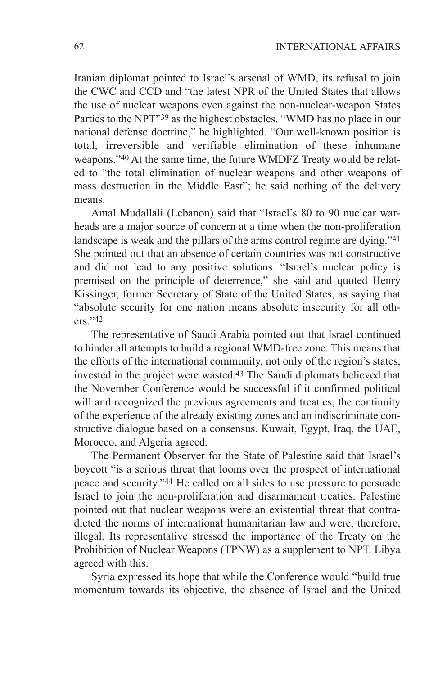Iranian diplomat pointed to Israel's arsenal of WMD, its refusal to join the CWC and CCD and "the latest NPR of the United States that allows the use of nuclear weapons even against the non-nuclear-weapon States Parties to the NPT"39 as the highest obstacles. "WMD has no place in our national defense doctrine," he highlighted. "Our well-known position is total, irreversible and verifiable elimination of these inhumane weapons."40 At the same time, the future WMDFZ Treaty would be related to "the total elimination of nuclear weapons and other weapons of mass destruction in the Middle East"; he said nothing of the delivery means.

Amal Mudallali (Lebanon) said that "Israel's 80 to 90 nuclear warheads are a major source of concern at a time when the non-proliferation landscape is weak and the pillars of the arms control regime are dying."41 She pointed out that an absence of certain countries was not constructive and did not lead to any positive solutions. "Israel's nuclear policy is premised on the principle of deterrence," she said and quoted Henry Kissinger, former Secretary of State of the United States, as saying that "absolute security for one nation means absolute insecurity for all others."42

The representative of Saudi Arabia pointed out that Israel continued to hinder all attempts to build a regional WMD-free zone. This means that the efforts of the international community, not only of the region's states, invested in the project were wasted.43 The Saudi diplomats believed that the November Conference would be successful if it confirmed political will and recognized the previous agreements and treaties, the continuity of the experience of the already existing zones and an indiscriminate constructive dialogue based on a consensus. Kuwait, Egypt, Iraq, the UAE, Morocco, and Algeria agreed.

The Permanent Observer for the State of Palestine said that Israel's boycott "is a serious threat that looms over the prospect of international peace and security."44 He called on all sides to use pressure to persuade Israel to join the non-proliferation and disarmament treaties. Palestine pointed out that nuclear weapons were an existential threat that contradicted the norms of international humanitarian law and were, therefore, illegal. Its representative stressed the importance of the Treaty on the Prohibition of Nuclear Weapons (TPNW) as a supplement to NPT. Libya agreed with this.

Syria expressed its hope that while the Conference would "build true momentum towards its objective, the absence of Israel and the United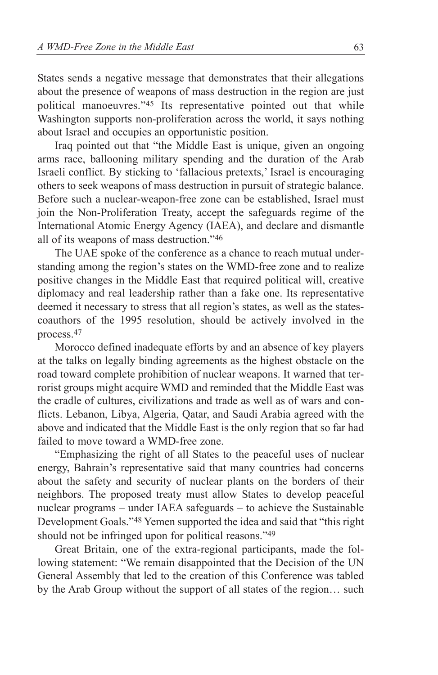States sends a negative message that demonstrates that their allegations about the presence of weapons of mass destruction in the region are just political manoeuvres."45 Its representative pointed out that while Washington supports non-proliferation across the world, it says nothing about Israel and occupies an opportunistic position.

Iraq pointed out that "the Middle East is unique, given an ongoing arms race, ballooning military spending and the duration of the Arab Israeli conflict. By sticking to 'fallacious pretexts,' Israel is encouraging others to seek weapons of mass destruction in pursuit of strategic balance. Before such a nuclear-weapon-free zone can be established, Israel must join the Non‑Proliferation Treaty, accept the safeguards regime of the International Atomic Energy Agency (IAEA), and declare and dismantle all of its weapons of mass destruction."46

The UAE spoke of the conference as a chance to reach mutual understanding among the region's states on the WMD-free zone and to realize positive changes in the Middle East that required political will, creative diplomacy and real leadership rather than a fake one. Its representative deemed it necessary to stress that all region's states, as well as the statescoauthors of the 1995 resolution, should be actively involved in the process.47

Morocco defined inadequate efforts by and an absence of key players at the talks on legally binding agreements as the highest obstacle on the road toward complete prohibition of nuclear weapons. It warned that terrorist groups might acquire WMD and reminded that the Middle East was the cradle of cultures, civilizations and trade as well as of wars and conflicts. Lebanon, Libya, Algeria, Qatar, and Saudi Arabia agreed with the above and indicated that the Middle East is the only region that so far had failed to move toward a WMD-free zone.

"Emphasizing the right of all States to the peaceful uses of nuclear energy, Bahrain's representative said that many countries had concerns about the safety and security of nuclear plants on the borders of their neighbors. The proposed treaty must allow States to develop peaceful nuclear programs – under IAEA safeguards – to achieve the Sustainable Development Goals."48 Yemen supported the idea and said that "this right should not be infringed upon for political reasons."49

Great Britain, one of the extra-regional participants, made the following statement: "We remain disappointed that the Decision of the UN General Assembly that led to the creation of this Conference was tabled by the Arab Group without the support of all states of the region… such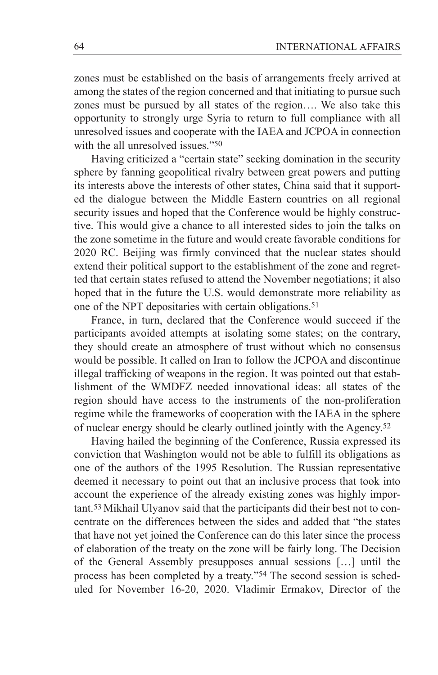zones must be established on the basis of arrangements freely arrived at among the states of the region concerned and that initiating to pursue such zones must be pursued by all states of the region…. We also take this opportunity to strongly urge Syria to return to full compliance with all unresolved issues and cooperate with the IAEA and JCPOA in connection with the all unresolved issues."<sup>50</sup>

Having criticized a "certain state" seeking domination in the security sphere by fanning geopolitical rivalry between great powers and putting its interests above the interests of other states, China said that it supported the dialogue between the Middle Eastern countries on all regional security issues and hoped that the Conference would be highly constructive. This would give a chance to all interested sides to join the talks on the zone sometime in the future and would create favorable conditions for 2020 RC. Beijing was firmly convinced that the nuclear states should extend their political support to the establishment of the zone and regretted that certain states refused to attend the November negotiations; it also hoped that in the future the U.S. would demonstrate more reliability as one of the NPT depositaries with certain obligations.51

France, in turn, declared that the Conference would succeed if the participants avoided attempts at isolating some states; on the contrary, they should create an atmosphere of trust without which no consensus would be possible. It called on Iran to follow the JCPOA and discontinue illegal trafficking of weapons in the region. It was pointed out that establishment of the WMDFZ needed innovational ideas: all states of the region should have access to the instruments of the non-proliferation regime while the frameworks of cooperation with the IAEA in the sphere of nuclear energy should be clearly outlined jointly with the Agency.52

Having hailed the beginning of the Conference, Russia expressed its conviction that Washington would not be able to fulfill its obligations as one of the authors of the 1995 Resolution. The Russian representative deemed it necessary to point out that an inclusive process that took into account the experience of the already existing zones was highly important.53 Mikhail Ulyanov said that the participants did their best not to concentrate on the differences between the sides and added that "the states that have not yet joined the Conference can do this later since the process of elaboration of the treaty on the zone will be fairly long. The Decision of the General Assembly presupposes annual sessions […] until the process has been completed by a treaty."54 The second session is scheduled for November 16-20, 2020. Vladimir Ermakov, Director of the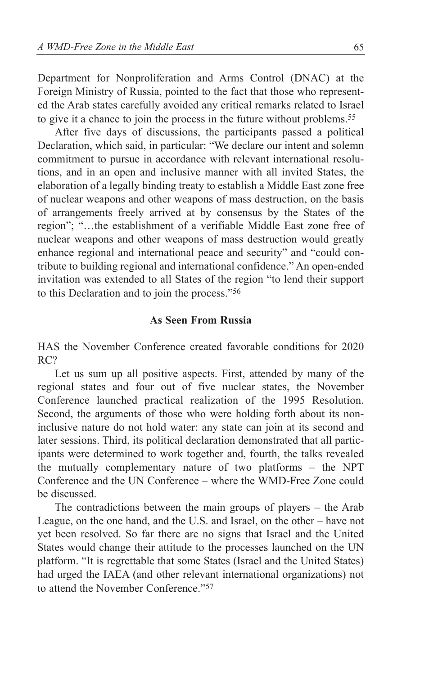Department for Nonproliferation and Arms Control (DNAC) at the Foreign Ministry of Russia, pointed to the fact that those who represented the Arab states carefully avoided any critical remarks related to Israel to give it a chance to join the process in the future without problems.55

After five days of discussions, the participants passed a political Declaration, which said, in particular: "We declare our intent and solemn commitment to pursue in accordance with relevant international resolutions, and in an open and inclusive manner with all invited States, the elaboration of a legally binding treaty to establish a Middle East zone free of nuclear weapons and other weapons of mass destruction, on the basis of arrangements freely arrived at by consensus by the States of the region"; "…the establishment of a verifiable Middle East zone free of nuclear weapons and other weapons of mass destruction would greatly enhance regional and international peace and security" and "could contribute to building regional and international confidence." An open-ended invitation was extended to all States of the region "to lend their support to this Declaration and to join the process."56

### **As Seen From Russia**

HAS the November Conference created favorable conditions for 2020 RC?

Let us sum up all positive aspects. First, attended by many of the regional states and four out of five nuclear states, the November Conference launched practical realization of the 1995 Resolution. Second, the arguments of those who were holding forth about its noninclusive nature do not hold water: any state can join at its second and later sessions. Third, its political declaration demonstrated that all participants were determined to work together and, fourth, the talks revealed the mutually complementary nature of two platforms – the NPT Conference and the UN Conference – where the WMD-Free Zone could be discussed.

The contradictions between the main groups of players – the Arab League, on the one hand, and the U.S. and Israel, on the other – have not yet been resolved. So far there are no signs that Israel and the United States would change their attitude to the processes launched on the UN platform. "It is regrettable that some States (Israel and the United States) had urged the IAEA (and other relevant international organizations) not to attend the November Conference."57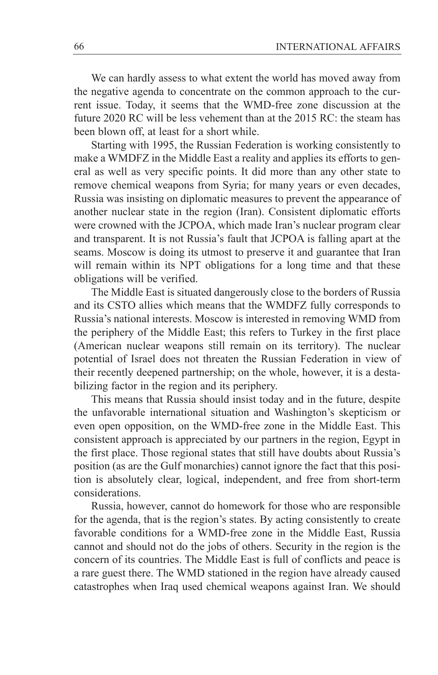We can hardly assess to what extent the world has moved away from the negative agenda to concentrate on the common approach to the current issue. Today, it seems that the WMD-free zone discussion at the future 2020 RC will be less vehement than at the 2015 RC: the steam has been blown off, at least for a short while.

Starting with 1995, the Russian Federation is working consistently to make a WMDFZ in the Middle East a reality and applies its efforts to general as well as very specific points. It did more than any other state to remove chemical weapons from Syria; for many years or even decades, Russia was insisting on diplomatic measures to prevent the appearance of another nuclear state in the region (Iran). Consistent diplomatic efforts were crowned with the JCPOA, which made Iran's nuclear program clear and transparent. It is not Russia's fault that JCPOA is falling apart at the seams. Moscow is doing its utmost to preserve it and guarantee that Iran will remain within its NPT obligations for a long time and that these obligations will be verified.

The Middle East is situated dangerously close to the borders of Russia and its CSTO allies which means that the WMDFZ fully corresponds to Russia's national interests. Moscow is interested in removing WMD from the periphery of the Middle East; this refers to Turkey in the first place (American nuclear weapons still remain on its territory). The nuclear potential of Israel does not threaten the Russian Federation in view of their recently deepened partnership; on the whole, however, it is a destabilizing factor in the region and its periphery.

This means that Russia should insist today and in the future, despite the unfavorable international situation and Washington's skepticism or even open opposition, on the WMD-free zone in the Middle East. This consistent approach is appreciated by our partners in the region, Egypt in the first place. Those regional states that still have doubts about Russia's position (as are the Gulf monarchies) cannot ignore the fact that this position is absolutely clear, logical, independent, and free from short-term considerations.

Russia, however, cannot do homework for those who are responsible for the agenda, that is the region's states. By acting consistently to create favorable conditions for a WMD-free zone in the Middle East, Russia cannot and should not do the jobs of others. Security in the region is the concern of its countries. The Middle East is full of conflicts and peace is a rare guest there. The WMD stationed in the region have already caused catastrophes when Iraq used chemical weapons against Iran. We should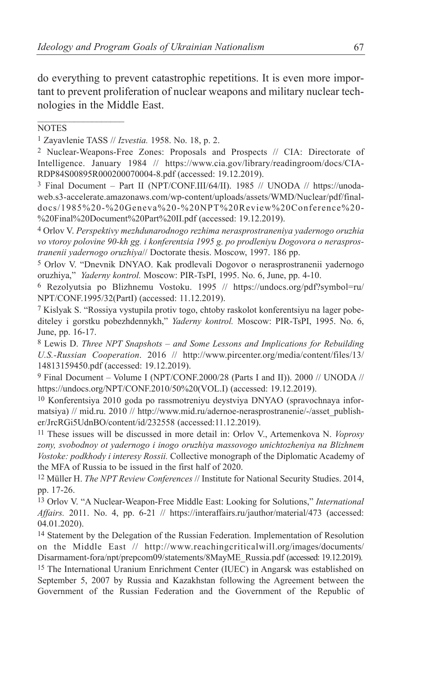do everything to prevent catastrophic repetitions. It is even more important to prevent proliferation of nuclear weapons and military nuclear technologies in the Middle East.

#### **NOTES**

 $\mathcal{L}_\text{max}$ 

1 Zayavlenie TASS // *Izvestia.* 1958. No. 18, p. 2.

2 Nuclear-Weapons-Free Zones: Proposals and Prospects // CIA: Directorate of Intelligence. January 1984 // https://www.cia.gov/library/readingroom/docs/CIA-RDP84S00895R000200070004-8.pdf (accessed: 19.12.2019).

3 Final Document – Part II (NPT/CONF.III/64/II). 1985 // UNODA // https://unodaweb.s3-accelerate.amazonaws.com/wp-content/uploads/assets/WMD/Nuclear/pdf/finaldocs/1985%20-%20Geneva%20-%20NPT%20Review%20Conference%20- %20Final%20Document%20Part%20II.pdf (accessed: 19.12.2019).

4 Orlov V. *Perspektivy mezhdunarodnogo rezhima nerasprostraneniya yadernogo oruzhia vo vtoroy polovine 90-kh gg. i konferentsia 1995 g. po prodleniyu Dogovora o nerasprostranenii yadernogo oruzhiya*// Doctorate thesis. Moscow, 1997. 186 pp.

5 Orlov V. "Dnevnik DNYAO. Kak prodlevali Dogovor o nerasprostranenii yadernogo oruzhiya," *Yaderny kontrol.* Moscow: PIR-TsPI, 1995. No. 6, June, pp. 4-10.

6 Rezolyutsia po Blizhnemu Vostoku. 1995 // https://undocs.org/pdf?symbol=ru/ NPT/CONF.1995/32(PartI) (accessed: 11.12.2019).

7 Kislyak S. "Rossiya vystupila protiv togo, chtoby raskolot konferentsiyu na lager pobediteley i gorstku pobezhdennykh," *Yaderny kontrol.* Moscow: PIR-TsPI, 1995. No. 6, June, pp. 16-17.

8 Lewis D. *Three NPT Snapshots – and Some Lessons and Implications for Rebuilding U.S.-Russian Cooperation*. 2016 // http://www.pircenter.org/media/content/files/13/ 14813159450.pdf (accessed: 19.12.2019).

9 Final Document – Volume I (NPT/CONF.2000/28 (Parts I and II)). 2000 // UNODA // https://undocs.org/NPT/CONF.2010/50%20(VOL.I) (accessed: 19.12.2019).

10 Konferentsiya 2010 goda po rassmotreniyu deystviya DNYAO (spravochnaya informatsiya) // mid.ru. 2010 // http://www.mid.ru/adernoe-nerasprostranenie/-/asset\_publisher/JrcRGi5UdnBO/content/id/232558 (accessed:11.12.2019).

11 These issues will be discussed in more detail in: Orlov V., Artemenkova N. *Voprosy zony, svobodnoy ot yadernogo i inogo oruzhiya massovogo unichtozheniya na Blizhnem Vostoke: podkhody i interesy Rossii.* Collective monograph of the Diplomatic Academy of the MFA of Russia to be issued in the first half of 2020.

12 Müller H. *The NPT Review Conferences* // Institute for National Security Studies. 2014, pp. 17-26.

13 Orlov V. "A Nuclear-Weapon-Free Middle East: Looking for Solutions," *International Affairs.* 2011. No. 4, pp. 6-21 // https://interaffairs.ru/jauthor/material/473 (accessed: 04.01.2020).

14 Statement by the Delegation of the Russian Federation. Implementation of Resolution on the Middle East // http://www.reachingcriticalwill.org/images/documents/ Disarmament-fora/npt/prepcom09/statements/8MayME\_Russia.pdf (accessed: 19.12.2019).

15 The International Uranium Enrichment Center (IUEC) in Angarsk was established on September 5, 2007 by Russia and Kazakhstan following the Agreement between the Government of the Russian Federation and the Government of the Republic of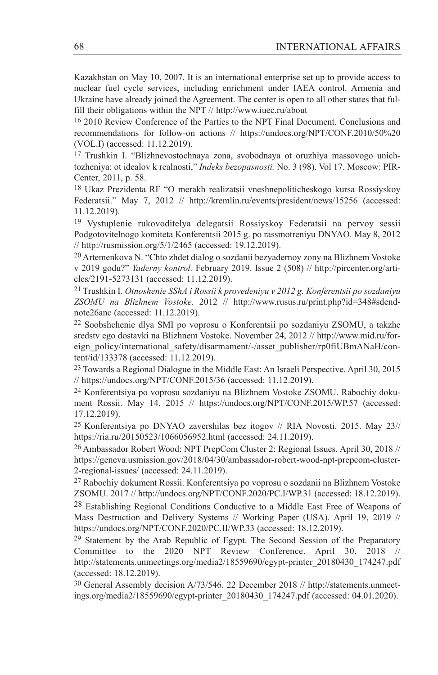Kazakhstan on May 10, 2007. It is an international enterprise set up to provide access to nuclear fuel cycle services, including enrichment under IAEA control. Armenia and Ukraine have already joined the Agreement. The center is open to all other states that fulfill their obligations within the NPT // http://www.iuec.ru/about

16 2010 Review Conference of the Parties to the NPT Final Document. Conclusions and recommendations for follow-on actions // https://undocs.org/NPT/CONF.2010/50%20 (VOL.I) (accessed: 11.12.2019).

17 Trushkin I. "Blizhnevostochnaya zona, svobodnaya ot oruzhiya massovogo unichtozheniya: ot idealov k realnosti," *Indeks bezopasnosti.* No. 3 (98). Vol 17. Moscow: PIR-Center, 2011, p. 58.

18 Ukaz Prezidenta RF "O merakh realizatsii vneshnepoliticheskogo kursa Rossiyskoy Federatsii." May 7, 2012 // http://kremlin.ru/events/president/news/15256 (accessed: 11.12.2019).

19 Vystuplenie rukovoditelya delegatsii Rossiyskoy Federatsii na pervoy sessii Podgotovitelnogo komiteta Konferentsii 2015 g. po rassmotreniyu DNYAO. May 8, 2012 // http://rusmission.org/5/1/2465 (accessed: 19.12.2019).

20 Artemenkova N. "Chto zhdet dialog o sozdanii bezyadernoy zony na Blizhnem Vostoke v 2019 godu?" *Yaderny kontrol.* February 2019. Issue 2 (508) // http://pircenter.org/articles/2191-5273131 (accessed: 11.12.2019).

21 Trushkin I. *Otnoshenie SShA i Rossii k provedeniyu v 2012 g. Konferentsii po sozdaniyu ZSOMU na Blizhnem Vostoke.* 2012 // http://www.rusus.ru/print.php?id=348#sdendnote26anc (accessed: 11.12.2019).

22 Soobshchenie dlya SMI po voprosu o Konferentsii po sozdaniyu ZSOMU, a takzhe sredstv ego dostavki na Blizhnem Vostoke. November 24, 2012 // http://www.mid.ru/foreign\_policy/international\_safety/disarmament/-/asset\_publisher/rp0fiUBmANaH/content/id/133378 (accessed: 11.12.2019).

23 Towards a Regional Dialogue in the Middle East: An Israeli Perspective. April 30, 2015 // https://undocs.org/NPT/CONF.2015/36 (accessed: 11.12.2019).

24 Konferentsiya po voprosu sozdaniyu na Blizhnem Vostoke ZSOMU. Rabochiy dokument Rossii. May 14, 2015 // https://undocs.org/NPT/CONF.2015/WP.57 (accessed: 17.12.2019).

25 Konferentsiya po DNYAO zavershilas bez itogov // RIA Novosti. 2015. May 23// https://ria.ru/20150523/1066056952.html (accessed: 24.11.2019).

26 Ambassador Robert Wood: NPT PrepCom Cluster 2: Regional Issues. April 30, 2018 // https://geneva.usmission.gov/2018/04/30/ambassador-robert-wood-npt-prepcom-cluster-2-regional-issues/ (accessed: 24.11.2019).

27 Rabochiy dokument Rossii. Konferentsiya po voprosu o sozdanii na Blizhnem Vostoke ZSOMU. 2017 // http://undocs.org/NPT/CONF.2020/PC.I/WP.31 (accessed: 18.12.2019).

28 Establishing Regional Conditions Conductive to a Middle East Free of Weapons of Mass Destruction and Delivery Systems // Working Paper (USA). April 19, 2019 // https://undocs.org/NPT/CONF.2020/PC.II/WP.33 (accessed: 18.12.2019).

<sup>29</sup> Statement by the Arab Republic of Egypt. The Second Session of the Preparatory Committee to the 2020 NPT Review Conference. April 30, 2018 http://statements.unmeetings.org/media2/18559690/egypt-printer\_20180430\_174247.pdf (accessed: 18.12.2019).

30 General Assembly decision A/73/546. 22 December 2018 // http://statements.unmeetings.org/media2/18559690/egypt-printer\_20180430\_174247.pdf (accessed: 04.01.2020).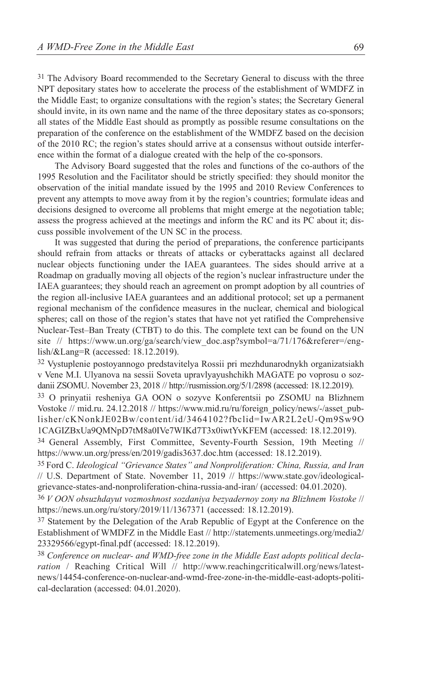<sup>31</sup> The Advisory Board recommended to the Secretary General to discuss with the three NPT depositary states how to accelerate the process of the establishment of WMDFZ in the Middle East; to organize consultations with the region's states; the Secretary General should invite, in its own name and the name of the three depositary states as co-sponsors; all states of the Middle East should as promptly as possible resume consultations on the preparation of the conference on the establishment of the WMDFZ based on the decision of the 2010 RC; the region's states should arrive at a consensus without outside interference within the format of a dialogue created with the help of the co-sponsors.

The Advisory Board suggested that the roles and functions of the co-authors of the 1995 Resolution and the Facilitator should be strictly specified: they should monitor the observation of the initial mandate issued by the 1995 and 2010 Review Conferences to prevent any attempts to move away from it by the region's countries; formulate ideas and decisions designed to overcome all problems that might emerge at the negotiation table; assess the progress achieved at the meetings and inform the RC and its PC about it; discuss possible involvement of the UN SC in the process.

It was suggested that during the period of preparations, the conference participants should refrain from attacks or threats of attacks or cyberattacks against all declared nuclear objects functioning under the IAEA guarantees. The sides should arrive at a Roadmap on gradually moving all objects of the region's nuclear infrastructure under the IAEA guarantees; they should reach an agreement on prompt adoption by all countries of the region all-inclusive IAEA guarantees and an additional protocol; set up a permanent regional mechanism of the confidence measures in the nuclear, chemical and biological spheres; call on those of the region's states that have not yet ratified the Comprehensive Nuclear-Test–Ban Treaty (CTBT) to do this. The complete text can be found on the UN site // https://www.un.org/ga/search/view doc.asp?symbol=a/71/176&referer=/english/&Lang=R (accessed: 18.12.2019).

32 Vystuplenie postoyannogo predstavitelya Rossii pri mezhdunarodnykh organizatsiakh v Vene M.I. Ulyanova na sessii Soveta upravlyayushchikh MAGATE po voprosu o sozdanii ZSOMU. November 23, 2018 // http://rusmission.org/5/1/2898 (accessed: 18.12.2019).

33 O prinyatii resheniya GA OON o sozyve Konferentsii po ZSOMU na Blizhnem Vostoke // mid.ru. 24.12.2018 // https://www.mid.ru/ru/foreign\_policy/news/-/asset\_publisher/cKNonkJE02Bw/content/id/3464102?fbclid=IwAR2L2eU-Qm9Sw9O 1CAGIZBxUa9QMNpD7tM8a0IVe7WIKd7T3x0iwtYvKFEM (accessed: 18.12.2019).

34 General Assembly, First Committee, Seventy-Fourth Session, 19th Meeting // https://www.un.org/press/en/2019/gadis3637.doc.htm (accessed: 18.12.2019).

35 Ford C. *Ideological "Grievance States" and Nonproliferation: China, Russia, and Iran* // U.S. Department of State. November 11, 2019 // https://www.state.gov/ideologicalgrievance-states-and-nonproliferation-china-russia-and-iran/ (accessed: 04.01.2020).

36 *V OON obsuzhdayut vozmoshnost sozdaniya bezyadernoy zony na Blizhnem Vostoke* // https://news.un.org/ru/story/2019/11/1367371 (accessed: 18.12.2019).

<sup>37</sup> Statement by the Delegation of the Arab Republic of Egypt at the Conference on the Establishment of WMDFZ in the Middle East // http://statements.unmeetings.org/media2/ 23329566/egypt-final.pdf (accessed: 18.12.2019).

38 *Conference on nuclear- and WMD-free zone in the Middle East adopts political declaration* / Reaching Critical Will // http://www.reachingcriticalwill.org/news/latestnews/14454-conference-on-nuclear-and-wmd-free-zone-in-the-middle-east-adopts-political-declaration (accessed: 04.01.2020).